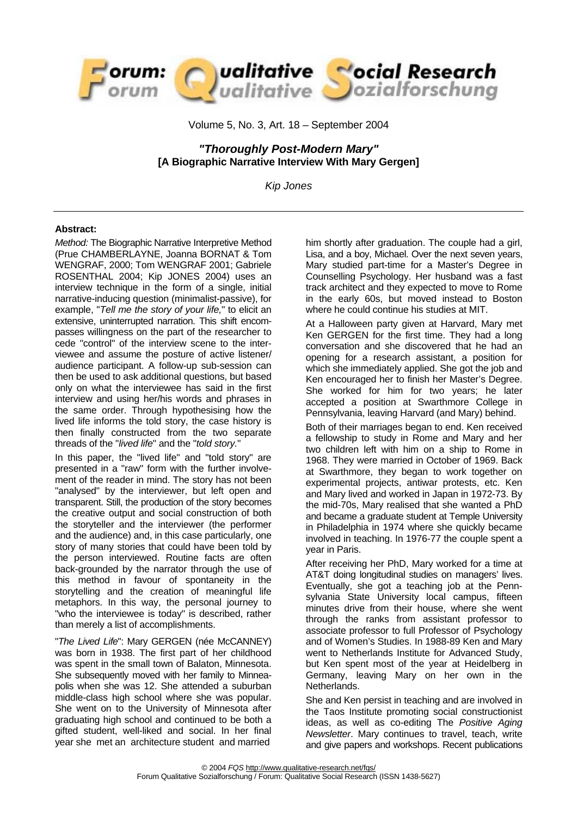

Volume 5, No. 3, Art. 18 – September 2004

*"Thoroughly Post-Modern Mary"*  **[A Biographic Narrative Interview With Mary Gergen]** 

*Kip Jones* 

#### **Abstract:**

*Method:* The Biographic Narrative Interpretive Method (Prue CHAMBERLAYNE, Joanna BORNAT & Tom WENGRAF, 2000; Tom WENGRAF 2001; Gabriele ROSENTHAL 2004; Kip JONES 2004) uses an interview technique in the form of a single, initial narrative-inducing question (minimalist-passive), for example, "*Tell me the story of your life,*" to elicit an extensive, uninterrupted narration. This shift encompasses willingness on the part of the researcher to cede "control" of the interview scene to the interviewee and assume the posture of active listener/ audience participant. A follow-up sub-session can then be used to ask additional questions, but based only on what the interviewee has said in the first interview and using her/his words and phrases in the same order. Through hypothesising how the lived life informs the told story, the case history is then finally constructed from the two separate threads of the "*lived life*" and the "*told story.*"

In this paper, the "lived life" and "told story" are presented in a "raw" form with the further involvement of the reader in mind. The story has not been "analysed" by the interviewer, but left open and transparent. Still, the production of the story becomes the creative output and social construction of both the storyteller and the interviewer (the performer and the audience) and, in this case particularly, one story of many stories that could have been told by the person interviewed. Routine facts are often back-grounded by the narrator through the use of this method in favour of spontaneity in the storytelling and the creation of meaningful life metaphors. In this way, the personal journey to "who the interviewee is today" is described, rather than merely a list of accomplishments.

"*The Lived Life*": Mary GERGEN (née McCANNEY) was born in 1938. The first part of her childhood was spent in the small town of Balaton, Minnesota. She subsequently moved with her family to Minneapolis when she was 12. She attended a suburban middle-class high school where she was popular. She went on to the University of Minnesota after graduating high school and continued to be both a gifted student, well-liked and social. In her final year she met an architecture student and married

him shortly after graduation. The couple had a girl, Lisa, and a boy, Michael. Over the next seven years, Mary studied part-time for a Master's Degree in Counselling Psychology. Her husband was a fast track architect and they expected to move to Rome in the early 60s, but moved instead to Boston where he could continue his studies at MIT.

At a Halloween party given at Harvard, Mary met Ken GERGEN for the first time. They had a long conversation and she discovered that he had an opening for a research assistant, a position for which she immediately applied. She got the job and Ken encouraged her to finish her Master's Degree. She worked for him for two years; he later accepted a position at Swarthmore College in Pennsylvania, leaving Harvard (and Mary) behind.

Both of their marriages began to end. Ken received a fellowship to study in Rome and Mary and her two children left with him on a ship to Rome in 1968. They were married in October of 1969. Back at Swarthmore, they began to work together on experimental projects, antiwar protests, etc. Ken and Mary lived and worked in Japan in 1972-73. By the mid-70s, Mary realised that she wanted a PhD and became a graduate student at Temple University in Philadelphia in 1974 where she quickly became involved in teaching. In 1976-77 the couple spent a year in Paris.

After receiving her PhD, Mary worked for a time at AT&T doing longitudinal studies on managers' lives. Eventually, she got a teaching job at the Pennsylvania State University local campus, fifteen minutes drive from their house, where she went through the ranks from assistant professor to associate professor to full Professor of Psychology and of Women's Studies. In 1988-89 Ken and Mary went to Netherlands Institute for Advanced Study, but Ken spent most of the year at Heidelberg in Germany, leaving Mary on her own in the Netherlands.

She and Ken persist in teaching and are involved in the Taos Institute promoting social constructionist ideas, as well as co-editing The *Positive Aging Newsletter*. Mary continues to travel, teach, write and give papers and workshops. Recent publications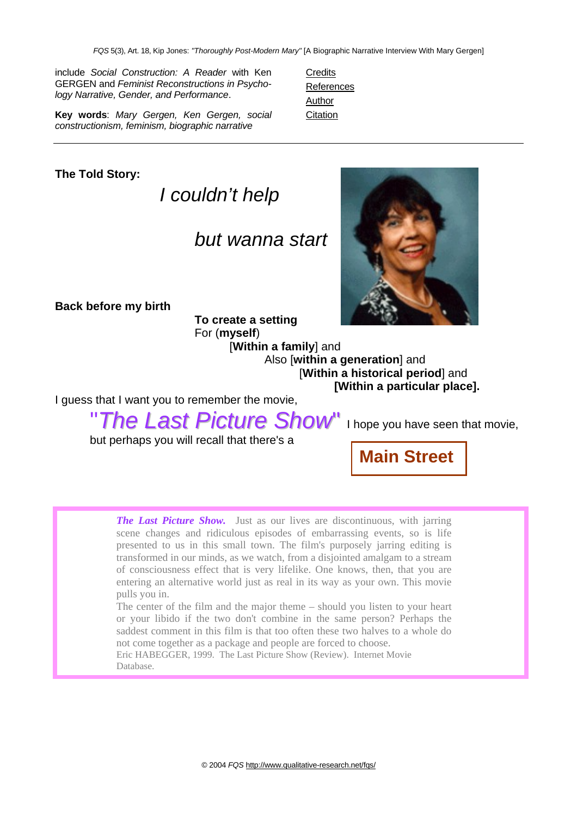**Credits** References **Author Citation** 

include *Social Construction: A Reader* with Ken GERGEN and *Feminist Reconstructions in Psychology Narrative, Gender, and Performance*.

**Key words**: *Mary Gergen, Ken Gergen, social constructionism, feminism, biographic narrative* 

**The Told Story:** 

*I couldn't help* 

## *but wanna start*

**Back before my birth** 

**To create a setting**  For (**myself**)

[**Within a family**] and Also [**within a generation**] and [**Within a historical period**] and **[Within a particular place].**

I guess that I want you to remember the movie,

"*The Last Picture Show*" I hope you have seen that movie,

but perhaps you will recall that there's a

**Main Street**

*The Last Picture Show.* Just as our lives are discontinuous, with jarring scene changes and ridiculous episodes of embarrassing events, so is life presented to us in this small town. The film's purposely jarring editing is transformed in our minds, as we watch, from a disjointed amalgam to a stream of consciousness effect that is very lifelike. One knows, then, that you are entering an alternative world just as real in its way as your own. This movie pulls you in.

The center of the film and the major theme – should you listen to your heart or your libido if the two don't combine in the same person? Perhaps the saddest comment in this film is that too often these two halves to a whole do not come together as a package and people are forced to choose.

Eric HABEGGER, 1999. The Last Picture Show (Review). Internet Movie Database.

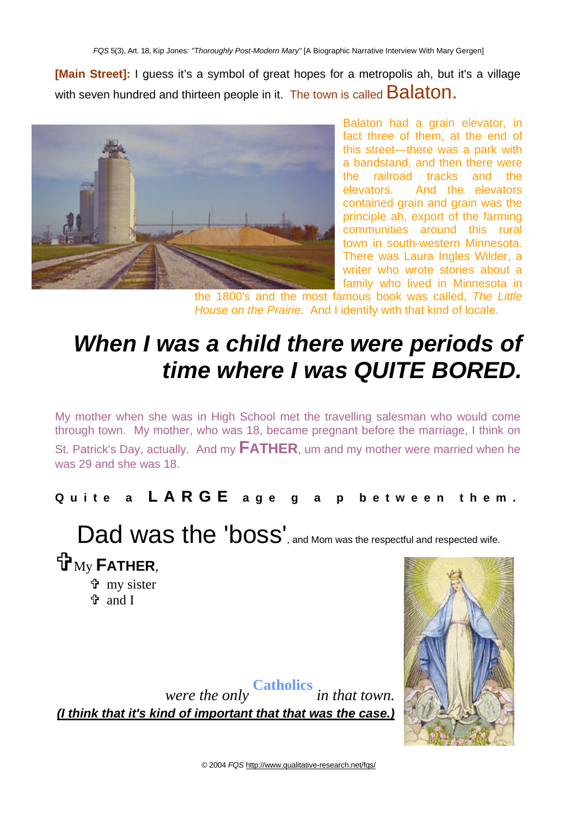**[Main Street]:** I guess it's a symbol of great hopes for a metropolis ah, but it's a village with seven hundred and thirteen people in it. The town is called **Balaton.** 



Balaton had a grain elevator, in fact three of them, at the end of this street—there was a park with a bandstand, and then there were the railroad tracks and the elevators. And the elevators contained grain and grain was the principle ah, export of the farming communities around this rural town in south-western Minnesota. There was Laura Ingles Wilder, a writer who wrote stories about a family who lived in Minnesota in

the 1800's and the most famous book was called, *The Little House on the Prairie*. And I identify with that kind of locale.

## *When I was a child there were periods of time where I was QUITE BORED.*

My mother when she was in High School met the travelling salesman who would come through town. My mother, who was 18, became pregnant before the marriage, I think on

St. Patrick's Day, actually. And my **FATHER**, um and my mother were married when he was 29 and she was 18.

### **Quite a L A R G E age g a p between them.**

Dad was the 'boss', and Mom was the respectful and respected wife.  $H_{\rm My}$  **FATHER,** 

= my sister = and I



*were the only* **Catholics** *in that town. (I think that it's kind of important that that was the case.)*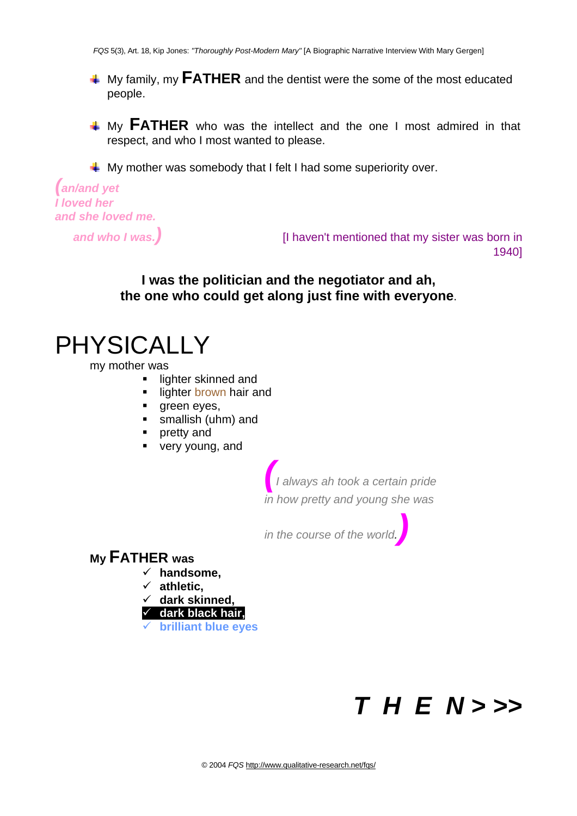**4** My family, my **FATHER** and the dentist were the some of the most educated people.

**4 My FATHER** who was the intellect and the one I most admired in that respect, and who I most wanted to please.

 $\downarrow$  My mother was somebody that I felt I had some superiority over.

```
(an/and yet 
I loved her 
and she loved me.
```
*and who I was.)* [I haven't mentioned that my sister was born in 1940]

### **I was the politician and the negotiator and ah, the one who could get along just fine with everyone**.

## PHYSICALLY

my mother was

- lighter skinned and
- **I** lighter brown hair and
- **qreen eyes,**
- smallish (uhm) and
- **pretty and**
- very young, and

*(I always ah took a certain pride in how pretty and young she was* 

*in the course of the world.)* 

### **My FATHER was**

- 9 **handsome,**
- 9 **athletic,**
- 9 **dark skinned,**
- 9 **dark black hair,**
- 9 **brilliant blue eyes**

# *T H E N > >>*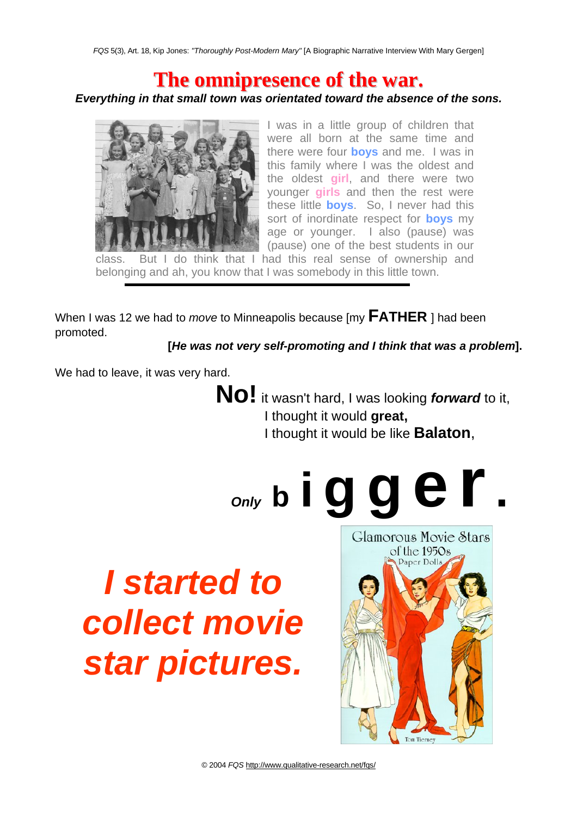## **The omnipresence of the war.**

### *Everything in that small town was orientated toward the absence of the sons.*



I was in a little group of children that were all born at the same time and there were four **boys** and me. I was in this family where I was the oldest and the oldest **girl**, and there were two younger **girls** and then the rest were these little **boys**. So, I never had this sort of inordinate respect for **boys** my age or younger. I also (pause) was (pause) one of the best students in our

But I do think that I had this real sense of ownership and belonging and ah, you know that I was somebody in this little town.

When I was 12 we had to *move* to Minneapolis because [my **FATHER** ] had been promoted.

**[***He was not very self-promoting and I think that was a problem***].**

We had to leave, it was very hard.

 **No!** it wasn't hard, I was looking *forward* to it, I thought it would **great,** I thought it would be like **Balaton**,

*Only* **<sup>b</sup> <sup>i</sup> g g e r.** 

# *I started to collect movie star pictures.*

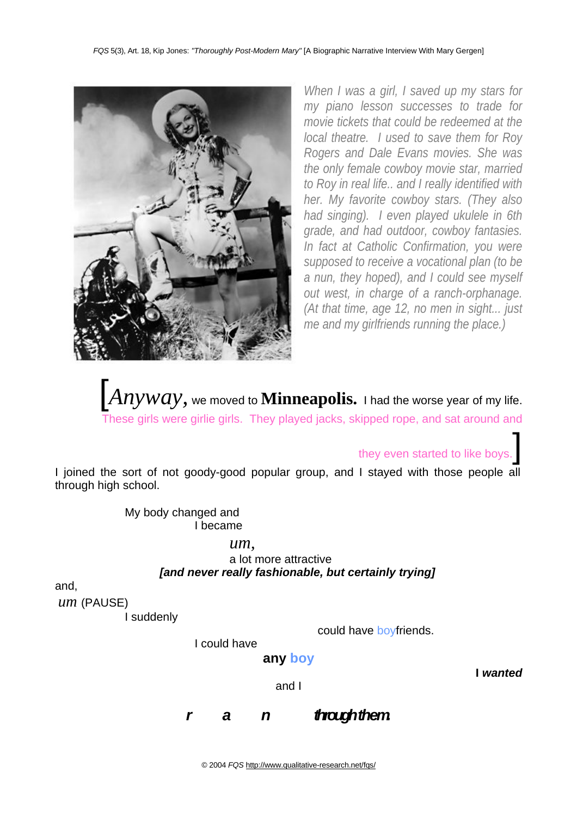

*When I was a girl, I saved up my stars for my piano lesson successes to trade for movie tickets that could be redeemed at the local theatre. I used to save them for Roy Rogers and Dale Evans movies. She was the only female cowboy movie star, married to Roy in real life.. and I really identified with her. My favorite cowboy stars. (They also had singing). I even played ukulele in 6th grade, and had outdoor, cowboy fantasies. In fact at Catholic Confirmation, you were supposed to receive a vocational plan (to be a nun, they hoped), and I could see myself out west, in charge of a ranch-orphanage. (At that time, age 12, no men in sight... just me and my girlfriends running the place.)* 

 $|Anyway$ , we moved to **Minneapolis.** I had the worse year of my life. These girls were girlie girls. They played jacks, skipped rope, and sat around and

they even started to like boys.

I joined the sort of not goody-good popular group, and I stayed with those people all through high school.

> My body changed and I became

> > *um,*

a lot more attractive *[and never really fashionable, but certainly trying]* 

and,

*um* (PAUSE)

I suddenly

could have boyfriends.

I could have

**any boy** 

and I

**I** *wanted* 

*r* a *n trough them*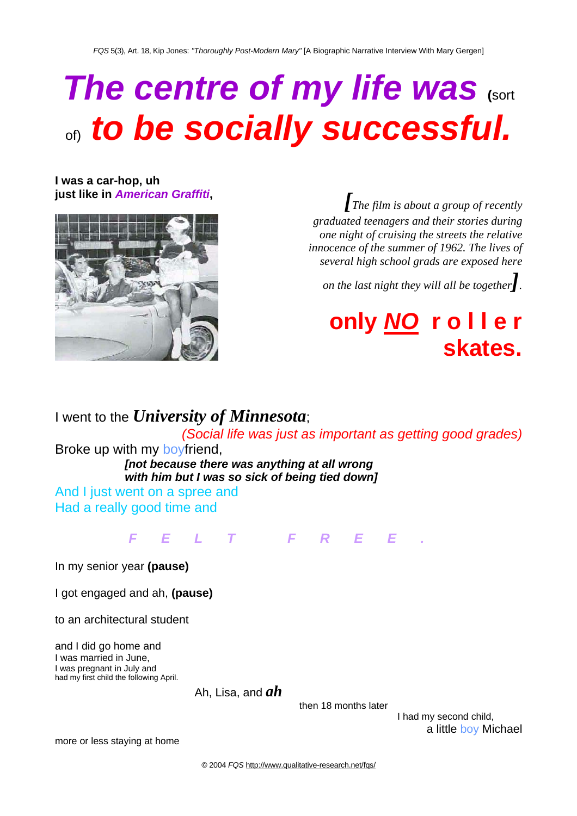# *The centre of my life was* **(**sort of) **to be socially successful.**

**I was a car-hop, uh** 



**just like in American Graffiti,**  $\int$  *[The film is about a group of recently*  $\int$  *<i>[The film is about a group of recently a graduated teenagers and their stories during one night of cruising the streets the relative innocence of the summer of 1962. The lives of several high school grads are exposed here* 

*on the last night they will all be together].* 

# **only** *NO* **r o l l e r skates.**

I went to the *University of Minnesota*; *(Social life was just as important as getting good grades)*  Broke up with my boyfriend, *[not because there was anything at all wrong with him but I was so sick of being tied down]*  And I just went on a spree and Had a really good time and

### *FELT FREE.*

In my senior year **(pause)**

I got engaged and ah, **(pause)**

to an architectural student

and I did go home and I was married in June, I was pregnant in July and had my first child the following April.

Ah, Lisa, and *ah*

then 18 months later

I had my second child, a little boy Michael

more or less staying at home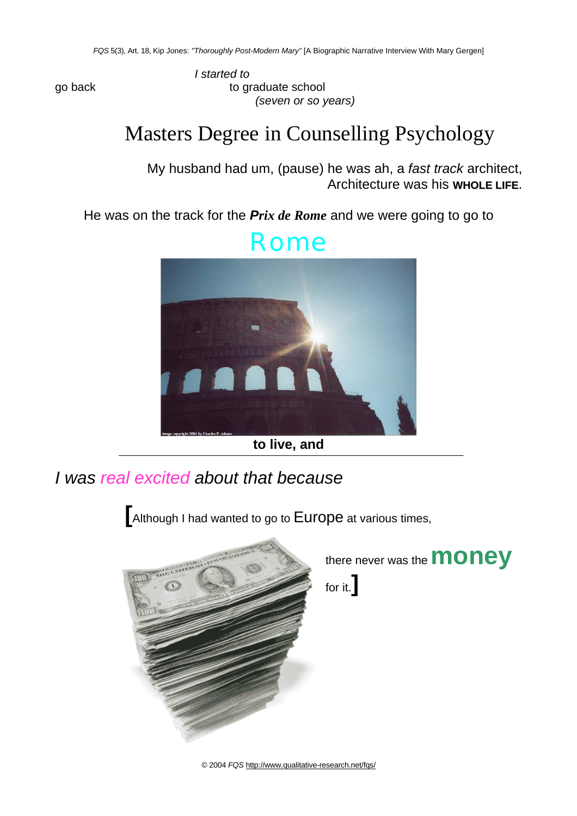*I started to*  go back to graduate school *(seven or so years)* 

## Masters Degree in Counselling Psychology

My husband had um, (pause) he was ah, a *fast track* architect, Architecture was his **WHOLE LIFE**.

He was on the track for the *Prix de Rome* and we were going to go to



**to live, and** 

*I was real excited about that because* 

**[**Although I had wanted to go to Europe at various times,

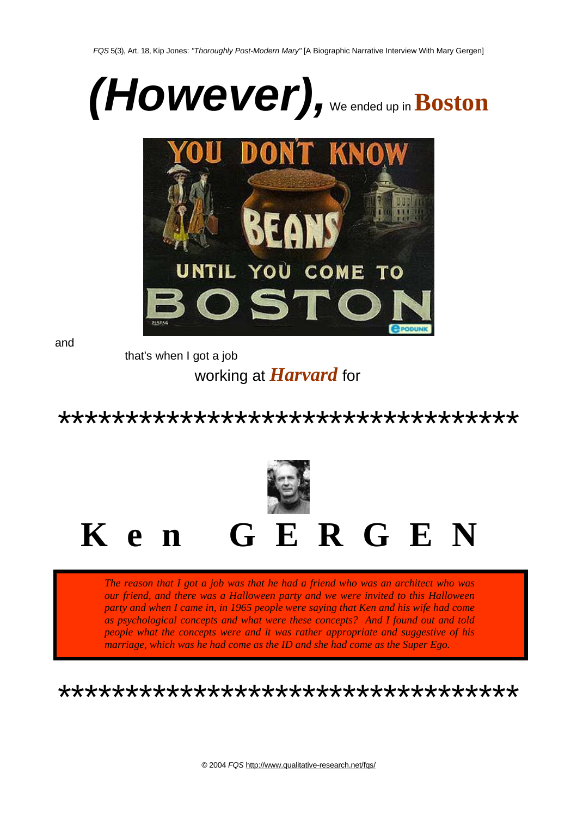



and

that's when I got a job

working at *Harvard* for

\*\*\*\*\*\*\*\*\*\*\*\*\*\*\*\*\*\*\*\*\*\*\*\*\*\*\*\*\*\*\*\*\*\*\*



*The reason that I got a job was that he had a friend who was an architect who was our friend, and there was a Halloween party and we were invited to this Halloween party and when I came in, in 1965 people were saying that Ken and his wife had come as psychological concepts and what were these concepts? And I found out and told people what the concepts were and it was rather appropriate and suggestive of his marriage, which was he had come as the ID and she had come as the Super Ego.* 

\*\*\*\*\*\*\*\*\*\*\*\*\*\*\*\*\*\*\*\*\*\*\*\*\*\*\*\*\*\*\*\*\*\*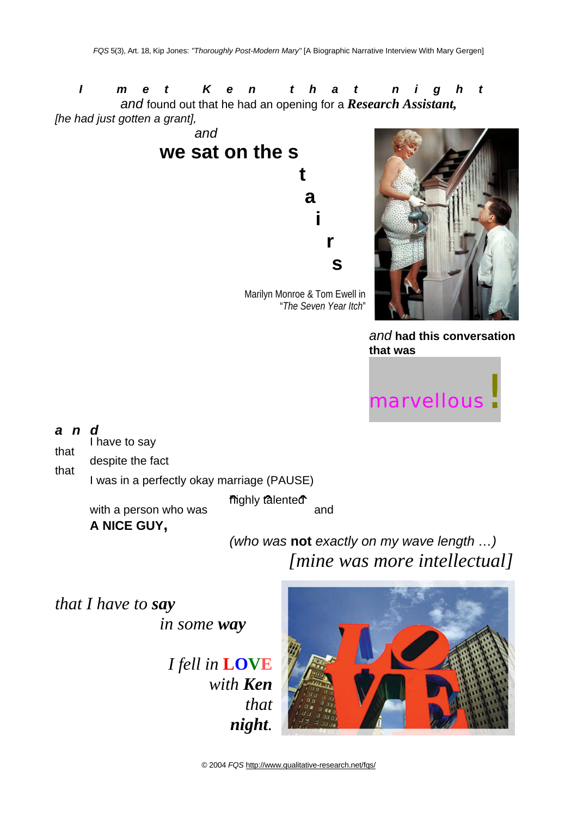*I met Ken that night and* found out that he had an opening for a *Research Assistant, [he had just gotten a grant],* 



"*The Seven Year Itch*"



*and* **had this conversation that was**



*and* 

I have to say<br>that

despite the fact<br>that

I was in a perfectly okay marriage (PAUSE)

highly talented with a person who was **The** and

**A NICE GUY,**

*(who was* **not** *exactly on my wave length …) [mine was more intellectual]* 

*that I have to say* 

*in some way* 

*I fell in* **LOVE** *with Ken that night.* 

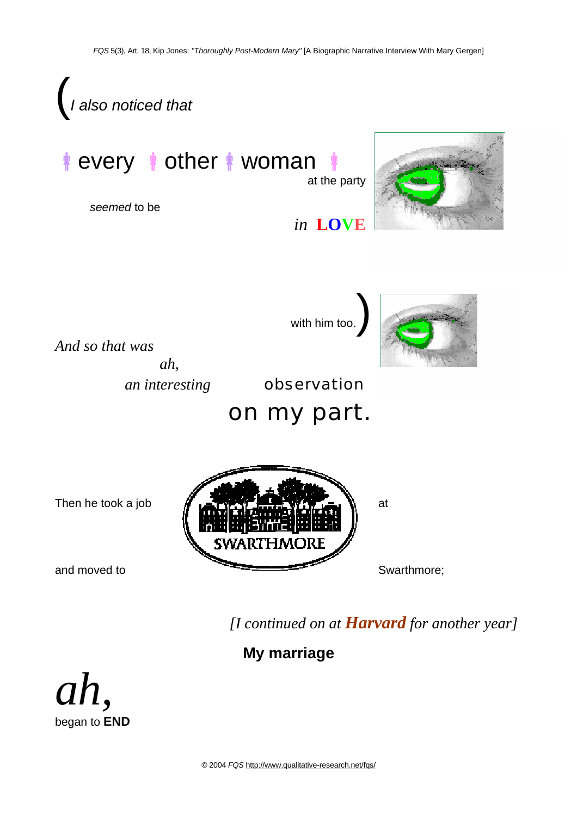

*ah,*  began to **END**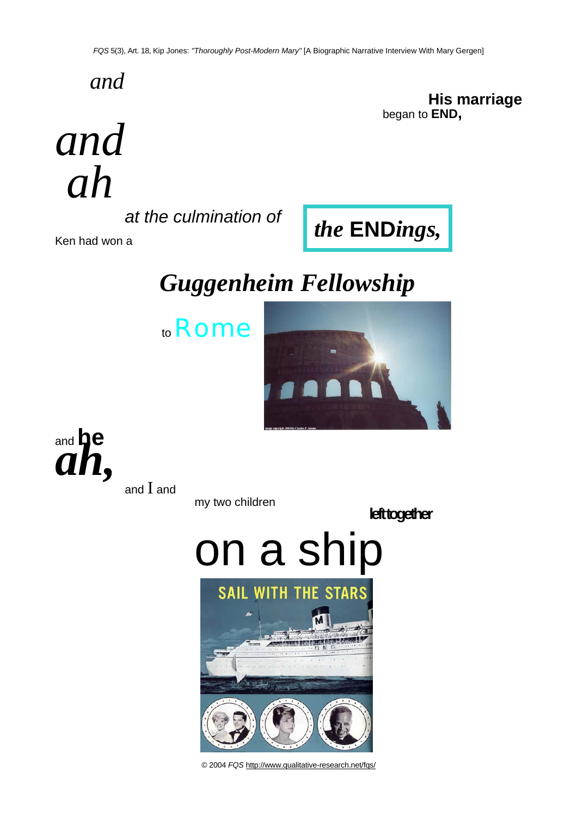*and* 

**His marriage**  began to **END,**

*and ah* 

*at the culmination of* 

Ken had won a

# *Guggenheim Fellowship*





*the* **END***ings,* 



and  $I$  and

my two children

**left together** 

# on a ship

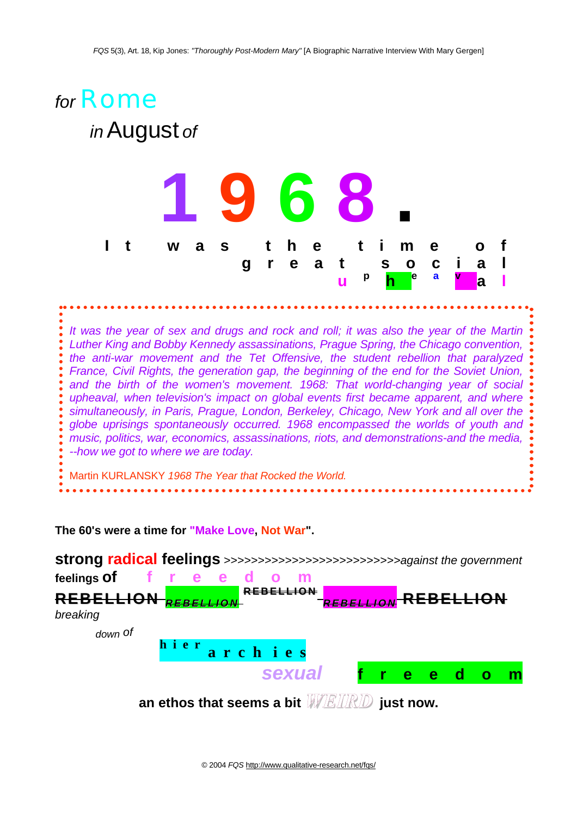

**The 60's were a time for "Make Love, Not War".** 

**strong radical feelings** *>>>>>>>>>>>>>>>>>>>>>>>>>>against the government*  **feelings of f r e e d o m REBELLION** *<sup>R</sup> <sup>E</sup> <sup>B</sup> EL LI <sup>O</sup> <sup>N</sup>* **R E B EL LI O N** *<sup>R</sup> <sup>E</sup> <sup>B</sup> EL LI <sup>O</sup> <sup>N</sup>* **REBELLION** *breaking down of*  **h i e r a r c h i e s**  *sexual* **f r e e d o m** **an ethos that seems a bit** *WEIRD* **just now.**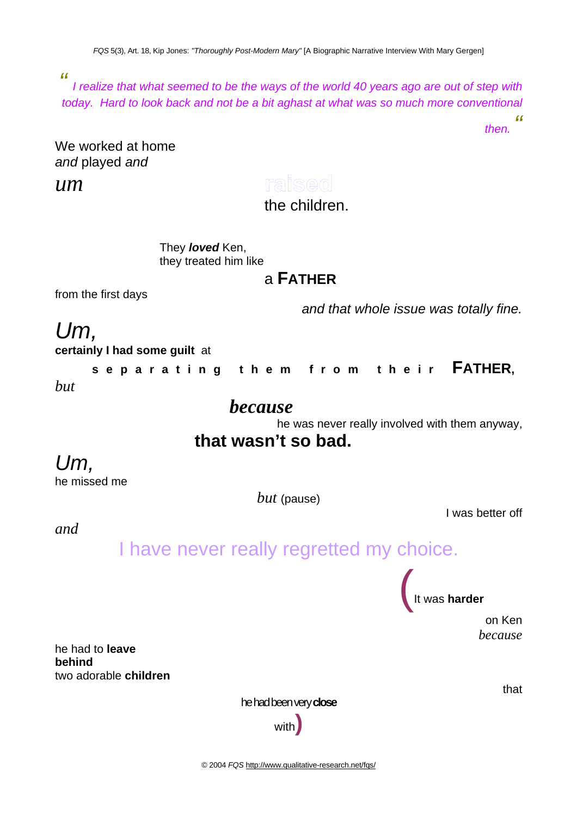*FQS* 5(3), Art. 18, Kip Jones: *"Thoroughly Post-Modern Mary"* [A Biographic Narrative Interview With Mary Gergen]

*"*

*I realize that what seemed to be the ways of the world 40 years ago are out of step with today. Hard to look back and not be a bit aghast at what was so much more conventional "*

*then.*

We worked at home *and* played *and* 

*um* 

raised

the children.

They *loved* Ken, they treated him like

## a **FATHER**

from the first days

*and that whole issue was totally fine.* 

*Um,* **certainly I had some guilt** at

**separating them from their FATHER,**  *but* 

### *because*

he was never really involved with them anyway,

## **that wasn't so bad.**

## *Um,*

he missed me

*but* (pause)

I was better off

*and* 

## I have never really regretted my choice.

(It was **harder** 

on Ken *because* 

he had to **leave behind**  two adorable **children**

he had been very **close**

with**)**

that

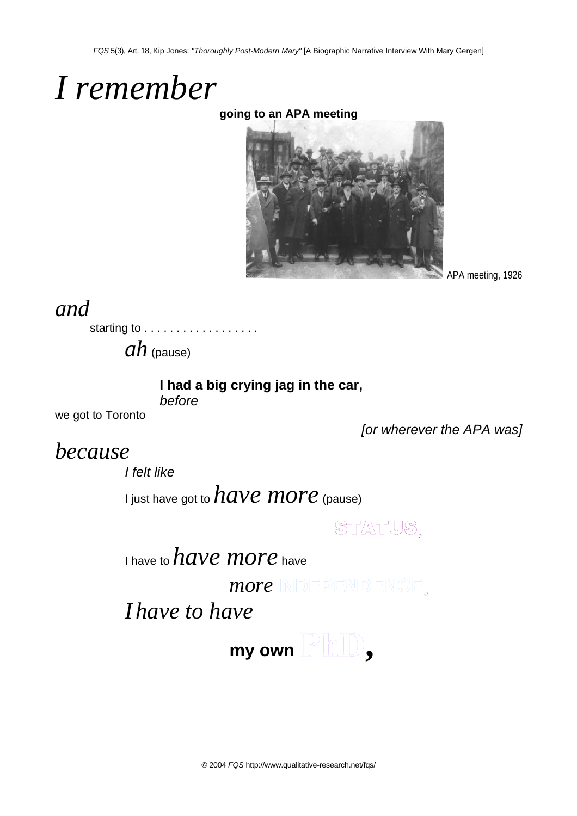# *I remember*

### **going to an APA meeting**



APA meeting, 1926

## *and*

starting to . . . . . . . . . . . . . . . .

*ah* (pause)

### **I had a big crying jag in the car,**

*before*

we got to Toronto

*[or wherever the APA was]* 

## *because*

*I felt like* 

I just have got to *have more* (pause)

STATUS,

I have to *have more* have

*more* INDEPENDENCE,

*I have to have*

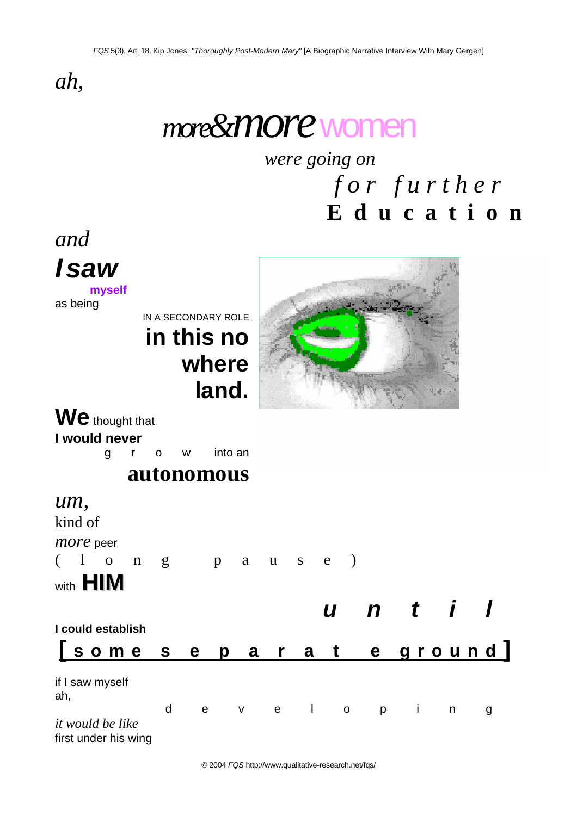*ah,* 

# *more&more*women

*were going on* 

*for further*  **E d u c a t i o n** 

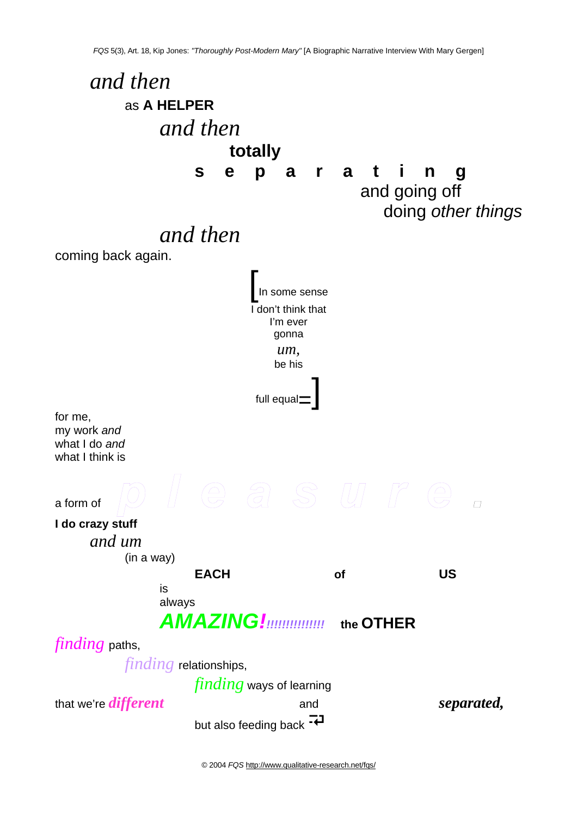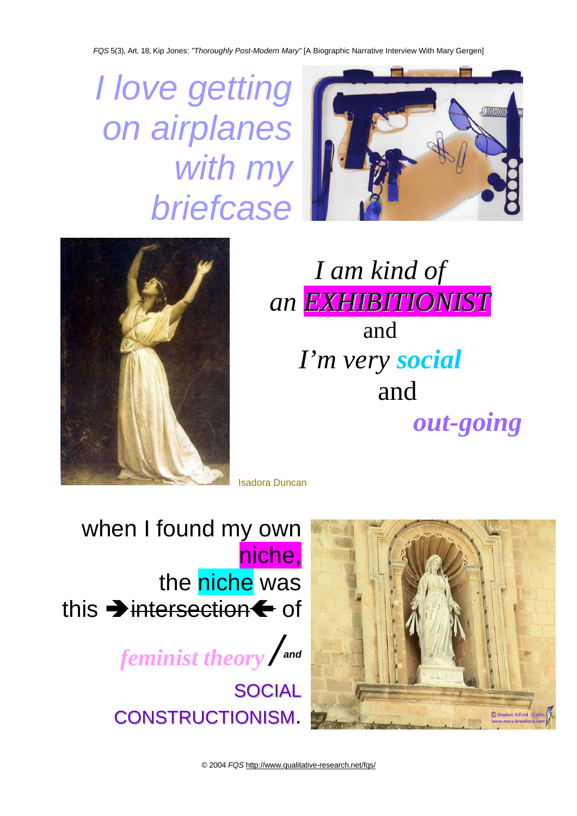*FQS* 5(3), Art. 18, Kip Jones: *"Thoroughly Post-Modern Mary"* [A Biographic Narrative Interview With Mary Gergen]

*I love getting on airplanes with my briefcase* 





*I am kind of an EXHIBITIONIST* and *I'm very social* and *out-going* 

Isadora Duncan

when I found my own niche, the niche was this  $\rightarrow$  intersection $\leftarrow$  of *feminist theory /and* 

> **SOCIAL** CONSTRUCTIONISM.

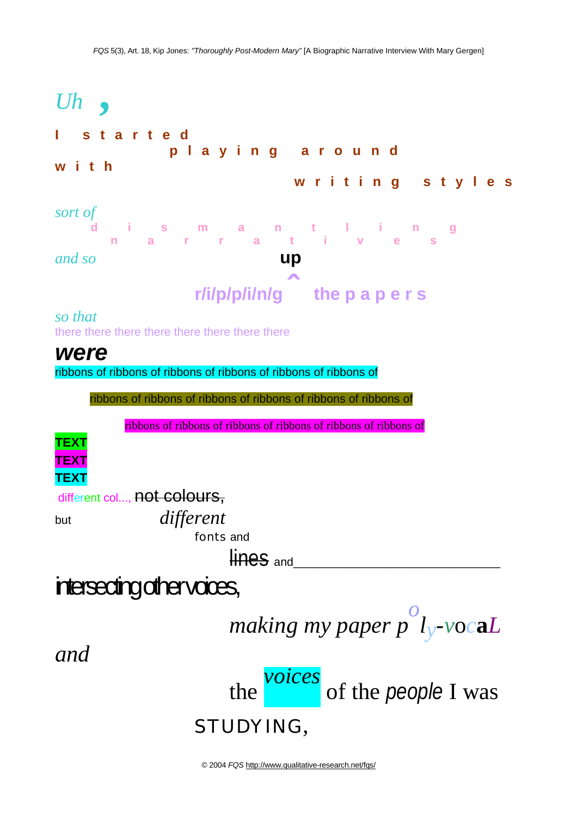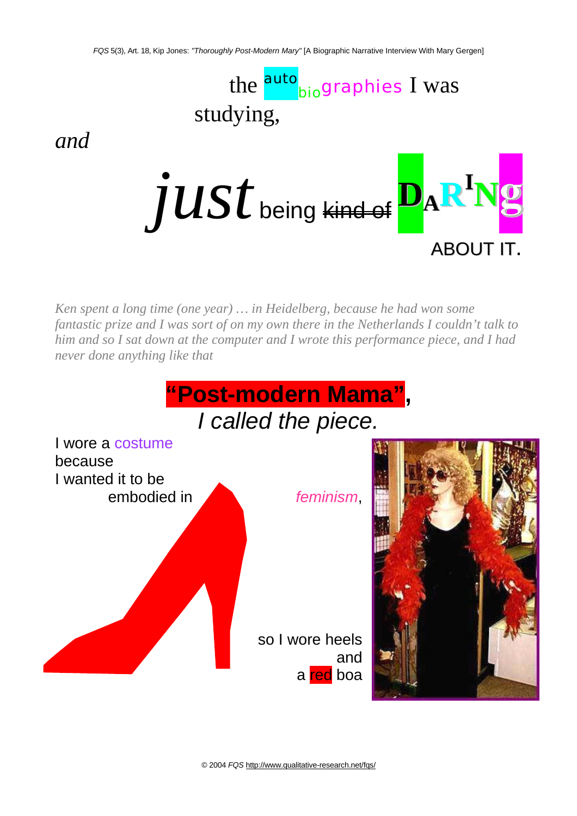

*and* 

 $JUSt$  being <del>kind of</del>  $\mathbf{p}_{\mathrm{A}}\mathbf{R}$ **Ng** ABOUT IT.

*Ken spent a long time (one year) … in Heidelberg, because he had won some fantastic prize and I was sort of on my own there in the Netherlands I couldn't talk to him and so I sat down at the computer and I wrote this performance piece, and I had never done anything like that* 

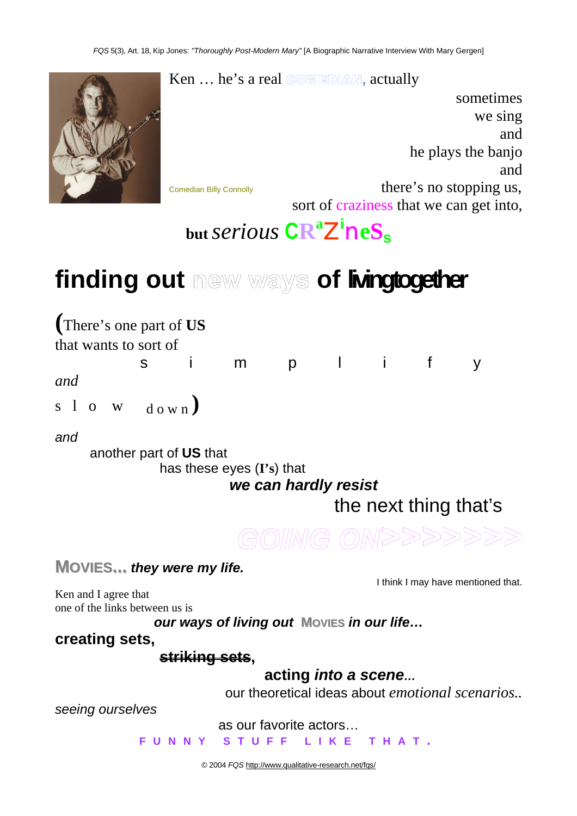$\operatorname{Ken} \dots$  he's a real  $\textcircled{com} \textcircled{mod} \mathbb{A}$ , actually



we sing and he plays the banjo and Comedian Billy Connolly **there's no stopping us,** sort of craziness that we can get into,

sometimes

# **but** *serious* **CR<sup>a</sup>** Z**i** n**eS<sup>s</sup>**

# finding out mew ways of **lingtogether**

**(**There's one part of **US** 

that wants to sort of

*and* 

s l o w  $_{\text{down}}$ )

### *and*

another part of **US** that

has these eyes (**I's**) that

*we can hardly resist* 

s i m p l i f y

the next thing that's



**MOVIES...** *they were my life.*

I think I may have mentioned that.

Ken and I agree that one of the links between us is

*our ways of living out* **MOVIES** *in our life…* 

### **creating sets,**

**striking sets,** 

**acting** *into a scene…*

our theoretical ideas about *emotional scenarios..* 

*seeing ourselves* 

as our favorite actors…

**FUNNY STUFF LIKE THAT .**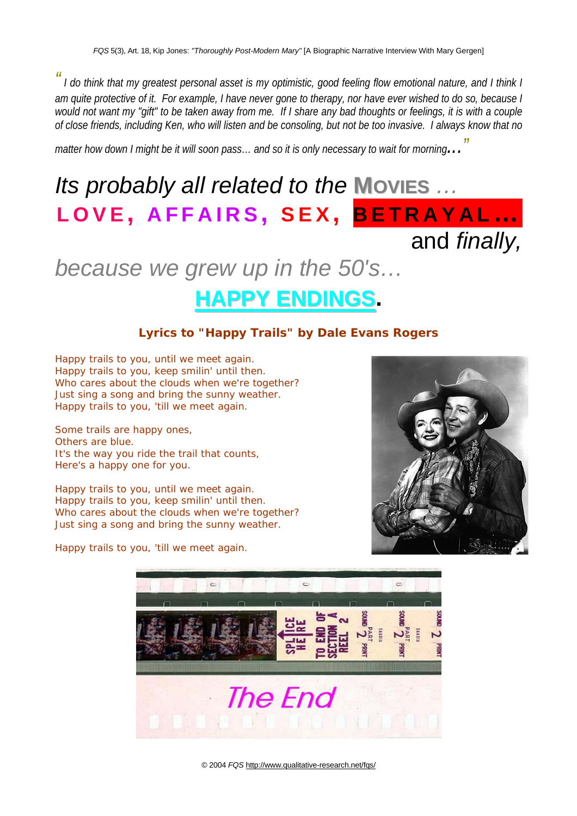*" I do think that my greatest personal asset is my optimistic, good feeling flow emotional nature, and I think I am quite protective of it. For example, I have never gone to therapy, nor have ever wished to do so, because I would not want my "gift" to be taken away from me. If I share any bad thoughts or feelings, it is with a couple of close friends, including Ken, who will listen and be consoling, but not be too invasive. I always know that no* 

*matter how down I might be it will soon pass… and so it is only necessary to wait for morning..."*

# *Its probably all related to the* **MOVIES** *…*  **LOVE , AFFAIRS , SEX , BETRAYAL…** and *finally,*

## *because we grew up in the 50's…*

## **HAPPY ENDINGS.**

### **Lyrics to "Happy Trails" by Dale Evans Rogers**

Happy trails to you, until we meet again. Happy trails to you, keep smilin' until then. Who cares about the clouds when we're together? Just sing a song and bring the sunny weather. Happy trails to you, 'till we meet again.

Some trails are happy ones, Others are blue. It's the way you ride the trail that counts, Here's a happy one for you.

Happy trails to you, until we meet again. Happy trails to you, keep smilin' until then. Who cares about the clouds when we're together? Just sing a song and bring the sunny weather.



Happy trails to you, 'till we meet again.

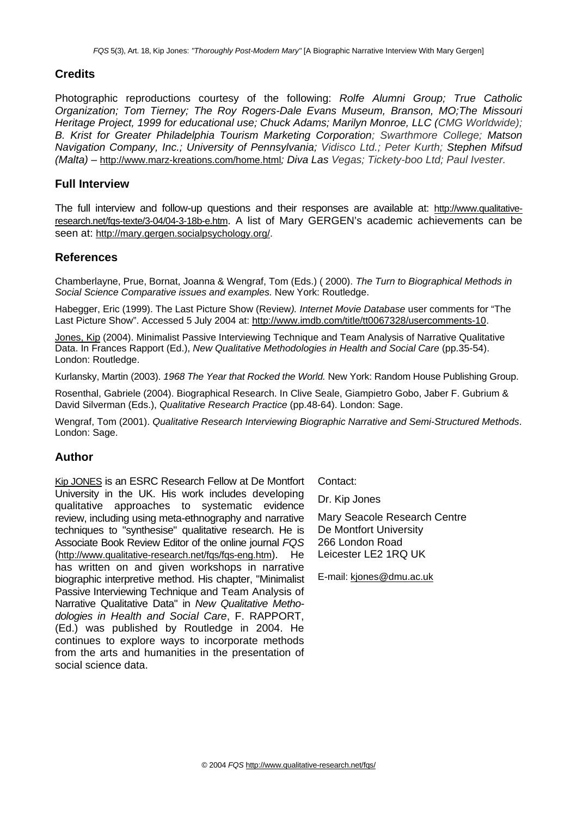### **Credits**

Photographic reproductions courtesy of the following: *Rolfe Alumni Group; True Catholic Organization; Tom Tierney; The Roy Rogers-Dale Evans Museum, Branson, MO;The Missouri Heritage Project, 1999 for educational use; Chuck Adams; Marilyn Monroe, LLC (CMG Worldwide); B. Krist for Greater Philadelphia Tourism Marketing Corporation; Swarthmore College; Matson Navigation Company, Inc.; University of Pennsylvania; Vidisco Ltd.; Peter Kurth; Stephen Mifsud (Malta) –* http://www.marz-kreations.com/home.html*; Diva Las Vegas; Tickety-boo Ltd; Paul Ivester.* 

#### **Full Interview**

The full interview and follow-up questions and their responses are available at: http://www.qualitativeresearch.net/fqs-texte/3-04/04-3-18b-e.htm. A list of Mary GERGEN's academic achievements can be seen at: http://mary.gergen.socialpsychology.org/.

#### **References**

Chamberlayne, Prue, Bornat, Joanna & Wengraf, Tom (Eds.) ( 2000). *The Turn to Biographical Methods in Social Science Comparative issues and examples.* New York: Routledge.

Habegger, Eric (1999). The Last Picture Show (Review*). Internet Movie Database* user comments for "The Last Picture Show". Accessed 5 July 2004 at: http://www.imdb.com/title/tt0067328/usercomments-10.

Jones, Kip (2004). Minimalist Passive Interviewing Technique and Team Analysis of Narrative Qualitative Data. In Frances Rapport (Ed.), *New Qualitative Methodologies in Health and Social Care* (pp.35-54). London: Routledge.

Kurlansky, Martin (2003). *1968 The Year that Rocked the World.* New York: Random House Publishing Group.

Rosenthal, Gabriele (2004). Biographical Research. In Clive Seale, Giampietro Gobo, Jaber F. Gubrium & David Silverman (Eds.), *Qualitative Research Practice* (pp.48-64). London: Sage.

Wengraf, Tom (2001). *Qualitative Research Interviewing Biographic Narrative and Semi-Structured Methods*. London: Sage.

#### **Author**

Kip JONES is an ESRC Research Fellow at De Montfort University in the UK. His work includes developing qualitative approaches to systematic evidence review, including using meta-ethnography and narrative techniques to "synthesise" qualitative research. He is Associate Book Review Editor of the online journal *FQS* (http://www.qualitative-research.net/fqs/fqs-eng.htm). He has written on and given workshops in narrative biographic interpretive method. His chapter, "Minimalist Passive Interviewing Technique and Team Analysis of Narrative Qualitative Data" in *New Qualitative Methodologies in Health and Social Care*, F. RAPPORT, (Ed.) was published by Routledge in 2004. He continues to explore ways to incorporate methods from the arts and humanities in the presentation of social science data.

Contact:

Dr. Kip Jones

Mary Seacole Research Centre De Montfort University 266 London Road Leicester LE2 1RQ UK

E-mail: kjones@dmu.ac.uk